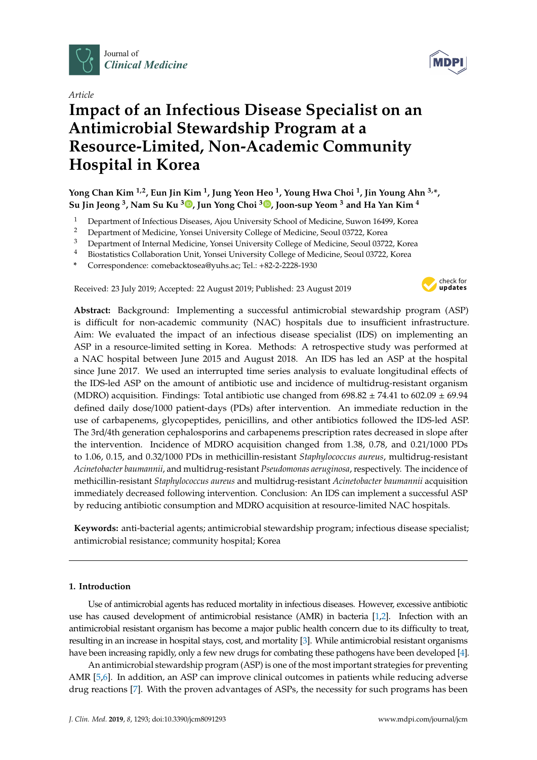

*Article*

# **Impact of an Infectious Disease Specialist on an Antimicrobial Stewardship Program at a Resource-Limited, Non-Academic Community Hospital in Korea**

## **Yong Chan Kim 1,2, Eun Jin Kim <sup>1</sup> , Jung Yeon Heo <sup>1</sup> , Young Hwa Choi <sup>1</sup> , Jin Young Ahn 3,\*, Su Jin Jeong <sup>3</sup> , Nam Su Ku <sup>3</sup> [,](https://orcid.org/0000-0002-9717-4327) Jun Yong Choi <sup>3</sup> [,](https://orcid.org/0000-0002-2775-3315) Joon-sup Yeom <sup>3</sup> and Ha Yan Kim <sup>4</sup>**

- <sup>1</sup> Department of Infectious Diseases, Ajou University School of Medicine, Suwon 16499, Korea<br><sup>2</sup> Department of Medicine, Nonsej University College of Medicine, Seoul 03722, Korea
- <sup>2</sup> Department of Medicine, Yonsei University College of Medicine, Seoul 03722, Korea<sup>3</sup> Department of Internal Medicine, Yonsei University College of Medicine, Seoul 0372
- <sup>3</sup> Department of Internal Medicine, Yonsei University College of Medicine, Seoul 03722, Korea
- <sup>4</sup> Biostatistics Collaboration Unit, Yonsei University College of Medicine, Seoul 03722, Korea
- **\*** Correspondence: comebacktosea@yuhs.ac; Tel.: +82-2-2228-1930

Received: 23 July 2019; Accepted: 22 August 2019; Published: 23 August 2019



**Abstract:** Background: Implementing a successful antimicrobial stewardship program (ASP) is difficult for non-academic community (NAC) hospitals due to insufficient infrastructure. Aim: We evaluated the impact of an infectious disease specialist (IDS) on implementing an ASP in a resource-limited setting in Korea. Methods: A retrospective study was performed at a NAC hospital between June 2015 and August 2018. An IDS has led an ASP at the hospital since June 2017. We used an interrupted time series analysis to evaluate longitudinal effects of the IDS-led ASP on the amount of antibiotic use and incidence of multidrug-resistant organism (MDRO) acquisition. Findings: Total antibiotic use changed from  $698.82 \pm 74.41$  to  $602.09 \pm 69.94$ defined daily dose/1000 patient-days (PDs) after intervention. An immediate reduction in the use of carbapenems, glycopeptides, penicillins, and other antibiotics followed the IDS-led ASP. The 3rd/4th generation cephalosporins and carbapenems prescription rates decreased in slope after the intervention. Incidence of MDRO acquisition changed from 1.38, 0.78, and 0.21/1000 PDs to 1.06, 0.15, and 0.32/1000 PDs in methicillin-resistant *Staphylococcus aureus*, multidrug-resistant *Acinetobacter baumannii*, and multidrug-resistant *Pseudomonas aeruginosa*, respectively. The incidence of methicillin-resistant *Staphylococcus aureus* and multidrug-resistant *Acinetobacter baumannii* acquisition immediately decreased following intervention. Conclusion: An IDS can implement a successful ASP by reducing antibiotic consumption and MDRO acquisition at resource-limited NAC hospitals.

**Keywords:** anti-bacterial agents; antimicrobial stewardship program; infectious disease specialist; antimicrobial resistance; community hospital; Korea

### **1. Introduction**

Use of antimicrobial agents has reduced mortality in infectious diseases. However, excessive antibiotic use has caused development of antimicrobial resistance (AMR) in bacteria [\[1,](#page-9-0)[2\]](#page-9-1). Infection with an antimicrobial resistant organism has become a major public health concern due to its difficulty to treat, resulting in an increase in hospital stays, cost, and mortality [\[3\]](#page-9-2). While antimicrobial resistant organisms have been increasing rapidly, only a few new drugs for combating these pathogens have been developed [\[4\]](#page-9-3).

An antimicrobial stewardship program (ASP) is one of the most important strategies for preventing AMR [\[5,](#page-9-4)[6\]](#page-10-0). In addition, an ASP can improve clinical outcomes in patients while reducing adverse drug reactions [\[7\]](#page-10-1). With the proven advantages of ASPs, the necessity for such programs has been

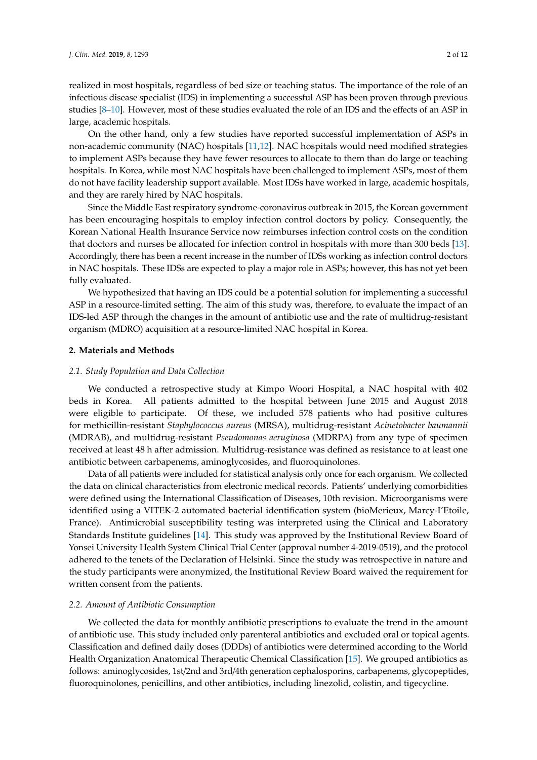realized in most hospitals, regardless of bed size or teaching status. The importance of the role of an infectious disease specialist (IDS) in implementing a successful ASP has been proven through previous studies [\[8–](#page-10-2)[10\]](#page-10-3). However, most of these studies evaluated the role of an IDS and the effects of an ASP in large, academic hospitals.

On the other hand, only a few studies have reported successful implementation of ASPs in non-academic community (NAC) hospitals [\[11,](#page-10-4)[12\]](#page-10-5). NAC hospitals would need modified strategies to implement ASPs because they have fewer resources to allocate to them than do large or teaching hospitals. In Korea, while most NAC hospitals have been challenged to implement ASPs, most of them do not have facility leadership support available. Most IDSs have worked in large, academic hospitals, and they are rarely hired by NAC hospitals.

Since the Middle East respiratory syndrome-coronavirus outbreak in 2015, the Korean government has been encouraging hospitals to employ infection control doctors by policy. Consequently, the Korean National Health Insurance Service now reimburses infection control costs on the condition that doctors and nurses be allocated for infection control in hospitals with more than 300 beds [\[13\]](#page-10-6). Accordingly, there has been a recent increase in the number of IDSs working as infection control doctors in NAC hospitals. These IDSs are expected to play a major role in ASPs; however, this has not yet been fully evaluated.

We hypothesized that having an IDS could be a potential solution for implementing a successful ASP in a resource-limited setting. The aim of this study was, therefore, to evaluate the impact of an IDS-led ASP through the changes in the amount of antibiotic use and the rate of multidrug-resistant organism (MDRO) acquisition at a resource-limited NAC hospital in Korea.

#### **2. Materials and Methods**

#### *2.1. Study Population and Data Collection*

We conducted a retrospective study at Kimpo Woori Hospital, a NAC hospital with 402 beds in Korea. All patients admitted to the hospital between June 2015 and August 2018 were eligible to participate. Of these, we included 578 patients who had positive cultures for methicillin-resistant *Staphylococcus aureus* (MRSA), multidrug-resistant *Acinetobacter baumannii* (MDRAB), and multidrug-resistant *Pseudomonas aeruginosa* (MDRPA) from any type of specimen received at least 48 h after admission. Multidrug-resistance was defined as resistance to at least one antibiotic between carbapenems, aminoglycosides, and fluoroquinolones.

Data of all patients were included for statistical analysis only once for each organism. We collected the data on clinical characteristics from electronic medical records. Patients' underlying comorbidities were defined using the International Classification of Diseases, 10th revision. Microorganisms were identified using a VITEK-2 automated bacterial identification system (bioMerieux, Marcy-I'Etoile, France). Antimicrobial susceptibility testing was interpreted using the Clinical and Laboratory Standards Institute guidelines [\[14\]](#page-10-7). This study was approved by the Institutional Review Board of Yonsei University Health System Clinical Trial Center (approval number 4-2019-0519), and the protocol adhered to the tenets of the Declaration of Helsinki. Since the study was retrospective in nature and the study participants were anonymized, the Institutional Review Board waived the requirement for written consent from the patients.

#### *2.2. Amount of Antibiotic Consumption*

We collected the data for monthly antibiotic prescriptions to evaluate the trend in the amount of antibiotic use. This study included only parenteral antibiotics and excluded oral or topical agents. Classification and defined daily doses (DDDs) of antibiotics were determined according to the World Health Organization Anatomical Therapeutic Chemical Classification [\[15\]](#page-10-8). We grouped antibiotics as follows: aminoglycosides, 1st/2nd and 3rd/4th generation cephalosporins, carbapenems, glycopeptides, fluoroquinolones, penicillins, and other antibiotics, including linezolid, colistin, and tigecycline.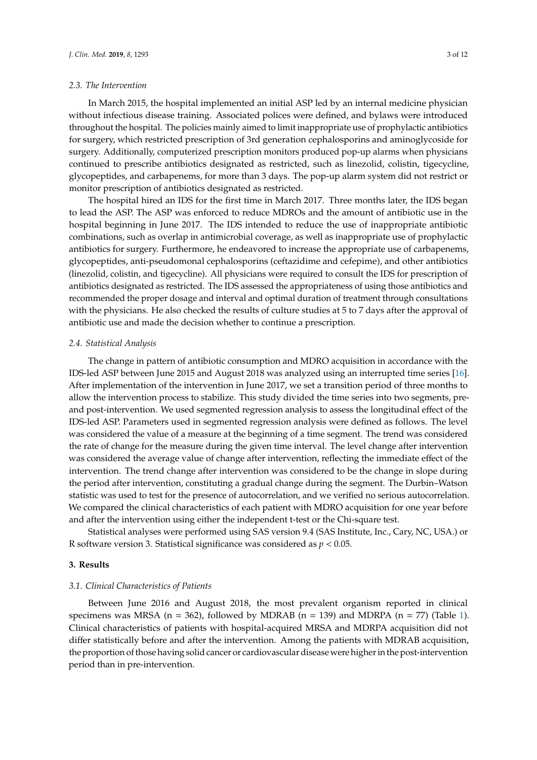#### *2.3. The Intervention*

In March 2015, the hospital implemented an initial ASP led by an internal medicine physician without infectious disease training. Associated polices were defined, and bylaws were introduced throughout the hospital. The policies mainly aimed to limit inappropriate use of prophylactic antibiotics for surgery, which restricted prescription of 3rd generation cephalosporins and aminoglycoside for surgery. Additionally, computerized prescription monitors produced pop-up alarms when physicians continued to prescribe antibiotics designated as restricted, such as linezolid, colistin, tigecycline, glycopeptides, and carbapenems, for more than 3 days. The pop-up alarm system did not restrict or monitor prescription of antibiotics designated as restricted.

The hospital hired an IDS for the first time in March 2017. Three months later, the IDS began to lead the ASP. The ASP was enforced to reduce MDROs and the amount of antibiotic use in the hospital beginning in June 2017. The IDS intended to reduce the use of inappropriate antibiotic combinations, such as overlap in antimicrobial coverage, as well as inappropriate use of prophylactic antibiotics for surgery. Furthermore, he endeavored to increase the appropriate use of carbapenems, glycopeptides, anti-pseudomonal cephalosporins (ceftazidime and cefepime), and other antibiotics (linezolid, colistin, and tigecycline). All physicians were required to consult the IDS for prescription of antibiotics designated as restricted. The IDS assessed the appropriateness of using those antibiotics and recommended the proper dosage and interval and optimal duration of treatment through consultations with the physicians. He also checked the results of culture studies at 5 to 7 days after the approval of antibiotic use and made the decision whether to continue a prescription.

#### *2.4. Statistical Analysis*

The change in pattern of antibiotic consumption and MDRO acquisition in accordance with the IDS-led ASP between June 2015 and August 2018 was analyzed using an interrupted time series [\[16\]](#page-10-9). After implementation of the intervention in June 2017, we set a transition period of three months to allow the intervention process to stabilize. This study divided the time series into two segments, preand post-intervention. We used segmented regression analysis to assess the longitudinal effect of the IDS-led ASP. Parameters used in segmented regression analysis were defined as follows. The level was considered the value of a measure at the beginning of a time segment. The trend was considered the rate of change for the measure during the given time interval. The level change after intervention was considered the average value of change after intervention, reflecting the immediate effect of the intervention. The trend change after intervention was considered to be the change in slope during the period after intervention, constituting a gradual change during the segment. The Durbin–Watson statistic was used to test for the presence of autocorrelation, and we verified no serious autocorrelation. We compared the clinical characteristics of each patient with MDRO acquisition for one year before and after the intervention using either the independent t-test or the Chi-square test.

Statistical analyses were performed using SAS version 9.4 (SAS Institute, Inc., Cary, NC, USA.) or R software version 3. Statistical significance was considered as *p* < 0.05.

#### **3. Results**

#### *3.1. Clinical Characteristics of Patients*

Between June 2016 and August 2018, the most prevalent organism reported in clinical specimens was MRSA ( $n = 362$ ), followed by MDRAB ( $n = 139$ ) and MDRPA ( $n = 77$ ) (Table [1\)](#page-3-0). Clinical characteristics of patients with hospital-acquired MRSA and MDRPA acquisition did not differ statistically before and after the intervention. Among the patients with MDRAB acquisition, the proportion of those having solid cancer or cardiovascular disease were higher in the post-intervention period than in pre-intervention.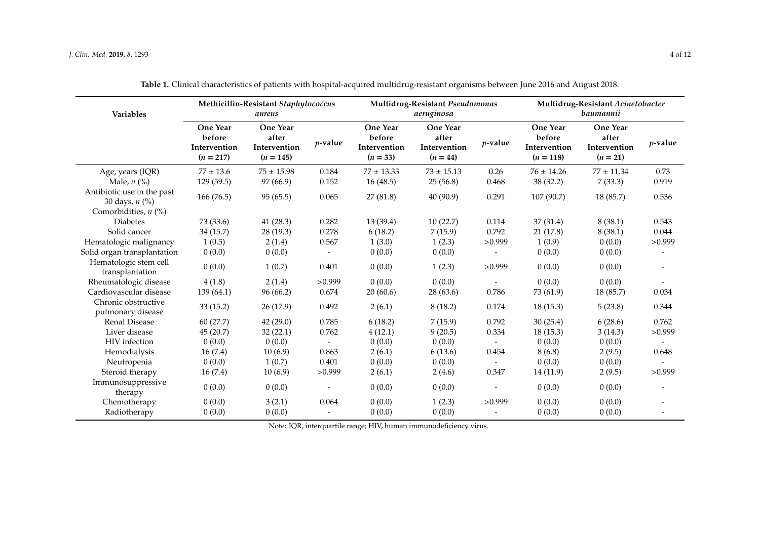<span id="page-3-0"></span>

| <b>Variables</b>                                                         | Methicillin-Resistant Staphylococcus<br>aureus           |                                                         |                          | Multidrug-Resistant Pseudomonas<br>aeruginosa           |                                                 |                          | Multidrug-Resistant Acinetobacter<br>baumannii           |                                                        |            |
|--------------------------------------------------------------------------|----------------------------------------------------------|---------------------------------------------------------|--------------------------|---------------------------------------------------------|-------------------------------------------------|--------------------------|----------------------------------------------------------|--------------------------------------------------------|------------|
|                                                                          | <b>One Year</b><br>before<br>Intervention<br>$(n = 217)$ | <b>One Year</b><br>after<br>Intervention<br>$(n = 145)$ | $p$ -value               | <b>One Year</b><br>before<br>Intervention<br>$(n = 33)$ | One Year<br>after<br>Intervention<br>$(n = 44)$ | $p$ -value               | <b>One Year</b><br>before<br>Intervention<br>$(n = 118)$ | <b>One Year</b><br>after<br>Intervention<br>$(n = 21)$ | $p$ -value |
| Age, years (IQR)                                                         | $77 \pm 13.6$                                            | $75 \pm 15.98$                                          | 0.184                    | $77 \pm 13.33$                                          | $73 \pm 15.13$                                  | 0.26                     | $76 \pm 14.26$                                           | $77 \pm 11.34$                                         | 0.73       |
| Male, $n$ (%)                                                            | 129 (59.5)                                               | 97 (66.9)                                               | 0.152                    | 16(48.5)                                                | 25(56.8)                                        | 0.468                    | 38 (32.2)                                                | 7(33.3)                                                | 0.919      |
| Antibiotic use in the past<br>30 days, $n$ (%)<br>Comorbidities, $n$ (%) | 166(76.5)                                                | 95(65.5)                                                | 0.065                    | 27(81.8)                                                | 40 (90.9)                                       | 0.291                    | 107 (90.7)                                               | 18(85.7)                                               | 0.536      |
| <b>Diabetes</b>                                                          | 73 (33.6)                                                | 41(28.3)                                                | 0.282                    | 13 (39.4)                                               | 10(22.7)                                        | 0.114                    | 37(31.4)                                                 | 8(38.1)                                                | 0.543      |
| Solid cancer                                                             | 34 (15.7)                                                | 28 (19.3)                                               | 0.278                    | 6(18.2)                                                 | 7(15.9)                                         | 0.792                    | 21 (17.8)                                                | 8(38.1)                                                | 0.044      |
| Hematologic malignancy                                                   | 1(0.5)                                                   | 2(1.4)                                                  | 0.567                    | 1(3.0)                                                  | 1(2.3)                                          | >0.999                   | 1(0.9)                                                   | 0(0.0)                                                 | >0.999     |
| Solid organ transplantation                                              | 0(0.0)                                                   | 0(0.0)                                                  | $\overline{\phantom{a}}$ | 0(0.0)                                                  | 0(0.0)                                          | $\overline{\phantom{a}}$ | 0(0.0)                                                   | 0(0.0)                                                 |            |
| Hematologic stem cell<br>transplantation                                 | 0(0.0)                                                   | 1(0.7)                                                  | 0.401                    | 0(0.0)                                                  | 1(2.3)                                          | >0.999                   | 0(0.0)                                                   | 0(0.0)                                                 |            |
| Rheumatologic disease                                                    | 4(1.8)                                                   | 2(1.4)                                                  | >0.999                   | 0(0.0)                                                  | 0(0.0)                                          | $\overline{\phantom{a}}$ | 0(0.0)                                                   | 0(0.0)                                                 |            |
| Cardiovascular disease                                                   | 139(64.1)                                                | 96 (66.2)                                               | 0.674                    | 20(60.6)                                                | 28 (63.6)                                       | 0.786                    | 73 (61.9)                                                | 18 (85.7)                                              | 0.034      |
| Chronic obstructive<br>pulmonary disease                                 | 33(15.2)                                                 | 26 (17.9)                                               | 0.492                    | 2(6.1)                                                  | 8(18.2)                                         | 0.174                    | 18(15.3)                                                 | 5(23.8)                                                | 0.344      |
| Renal Disease                                                            | 60(27.7)                                                 | 42(29.0)                                                | 0.785                    | 6(18.2)                                                 | 7(15.9)                                         | 0.792                    | 30(25.4)                                                 | 6(28.6)                                                | 0.762      |
| Liver disease                                                            | 45(20.7)                                                 | 32(22.1)                                                | 0.762                    | 4(12.1)                                                 | 9(20.5)                                         | 0.334                    | 18(15.3)                                                 | 3(14.3)                                                | >0.999     |
| <b>HIV</b> infection                                                     | 0(0.0)                                                   | 0(0.0)                                                  | $\sim$                   | 0(0.0)                                                  | 0(0.0)                                          | $\blacksquare$           | 0(0.0)                                                   | 0(0.0)                                                 |            |
| Hemodialysis                                                             | 16(7.4)                                                  | 10(6.9)                                                 | 0.863                    | 2(6.1)                                                  | 6(13.6)                                         | 0.454                    | 8(6.8)                                                   | 2(9.5)                                                 | 0.648      |
| Neutropenia                                                              | 0(0.0)                                                   | 1(0.7)                                                  | 0.401                    | 0(0.0)                                                  | 0(0.0)                                          |                          | 0(0.0)                                                   | 0(0.0)                                                 |            |
| Steroid therapy                                                          | 16(7.4)                                                  | 10(6.9)                                                 | >0.999                   | 2(6.1)                                                  | 2(4.6)                                          | 0.347                    | 14 (11.9)                                                | 2(9.5)                                                 | >0.999     |
| Immunosuppressive<br>therapy                                             | 0(0.0)                                                   | 0(0.0)                                                  |                          | 0(0.0)                                                  | 0(0.0)                                          |                          | 0(0.0)                                                   | 0(0.0)                                                 |            |
| Chemotherapy                                                             | 0(0.0)                                                   | 3(2.1)                                                  | 0.064                    | 0(0.0)                                                  | 1(2.3)                                          | >0.999                   | 0(0.0)                                                   | 0(0.0)                                                 |            |
| Radiotherapy                                                             | 0(0.0)                                                   | 0(0.0)                                                  | $\overline{\phantom{a}}$ | 0(0.0)                                                  | 0(0.0)                                          | $\overline{\phantom{m}}$ | 0(0.0)                                                   | 0(0.0)                                                 |            |

**Table 1.** Clinical characteristics of patients with hospital-acquired multidrug-resistant organisms between June 2016 and August 2018.

Note: IQR, interquartile range; HIV, human immunodeficiency virus.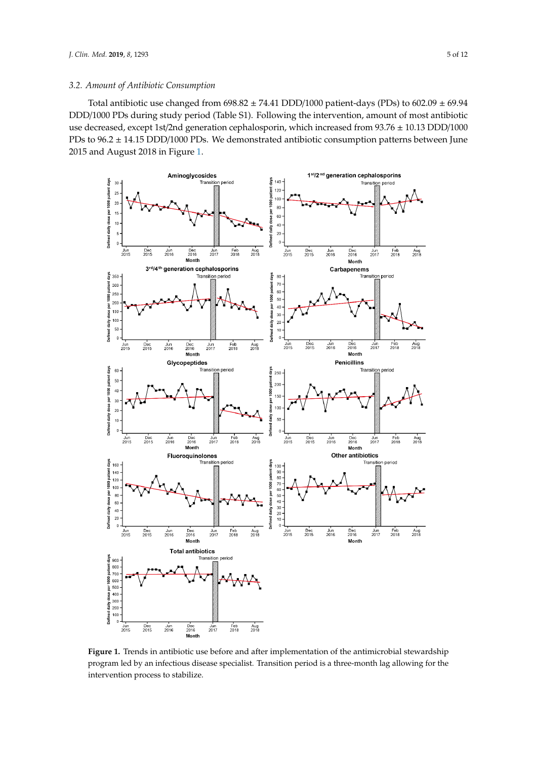## *3.2. Amount of Antibiotic Consumption*

Total antibiotic use changed from  $698.82 \pm 74.41$  DDD/1000 patient-days (PDs) to  $602.09 \pm 69.94$ DDD/1000 PDs during study period (Table S1). Following the intervention, amount of most antibiotic use decreased, except 1st/2nd generation cephalosporin, which increased from  $93.76 \pm 10.13$  DDD/1000 PDs to  $96.2 \pm 14.15$  DDD/1000 PDs. We demonstrated antibiotic consumption patterns between June 2015 and August 2018 in Figure 1.

<span id="page-4-0"></span>

**Figure 1.** Trends in antibiotic use before and after implementation of the antimicrobial stewardship program led by an infectious disease specialist. Transition period is a three-month lag allowing for the intervention process to stabilize.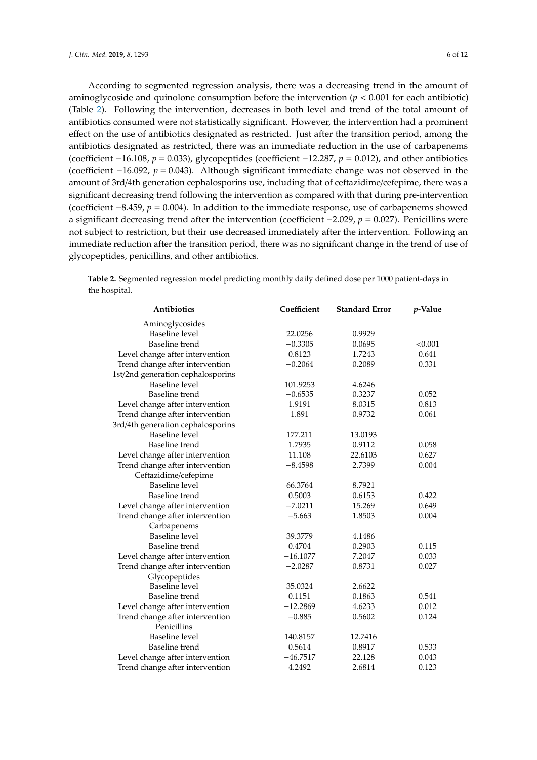According to segmented regression analysis, there was a decreasing trend in the amount of aminoglycoside and quinolone consumption before the intervention  $(p < 0.001$  for each antibiotic) (Table [2\)](#page-6-0). Following the intervention, decreases in both level and trend of the total amount of antibiotics consumed were not statistically significant. However, the intervention had a prominent effect on the use of antibiotics designated as restricted. Just after the transition period, among the antibiotics designated as restricted, there was an immediate reduction in the use of carbapenems (coefficient −16.108, *p* = 0.033), glycopeptides (coefficient −12.287, *p* = 0.012), and other antibiotics (coefficient −16.092, *p* = 0.043). Although significant immediate change was not observed in the amount of 3rd/4th generation cephalosporins use, including that of ceftazidime/cefepime, there was a significant decreasing trend following the intervention as compared with that during pre-intervention (coefficient −8.459, *p* = 0.004). In addition to the immediate response, use of carbapenems showed a significant decreasing trend after the intervention (coefficient −2.029, *p* = 0.027). Penicillins were not subject to restriction, but their use decreased immediately after the intervention. Following an immediate reduction after the transition period, there was no significant change in the trend of use of glycopeptides, penicillins, and other antibiotics.

**Table 2.** Segmented regression model predicting monthly daily defined dose per 1000 patient-days in the hospital.

| Antibiotics                       | Coefficient | <b>Standard Error</b> | p-Value |
|-----------------------------------|-------------|-----------------------|---------|
| Aminoglycosides                   |             |                       |         |
| <b>Baseline</b> level             | 22.0256     | 0.9929                |         |
| Baseline trend                    | $-0.3305$   | 0.0695                | < 0.001 |
| Level change after intervention   | 0.8123      | 1.7243                | 0.641   |
| Trend change after intervention   | $-0.2064$   | 0.2089                | 0.331   |
| 1st/2nd generation cephalosporins |             |                       |         |
| <b>Baseline</b> level             | 101.9253    | 4.6246                |         |
| <b>Baseline</b> trend             | $-0.6535$   | 0.3237                | 0.052   |
| Level change after intervention   | 1.9191      | 8.0315                | 0.813   |
| Trend change after intervention   | 1.891       | 0.9732                | 0.061   |
| 3rd/4th generation cephalosporins |             |                       |         |
| <b>Baseline</b> level             | 177.211     | 13.0193               |         |
| Baseline trend                    | 1.7935      | 0.9112                | 0.058   |
| Level change after intervention   | 11.108      | 22.6103               | 0.627   |
| Trend change after intervention   | $-8.4598$   | 2.7399                | 0.004   |
| Ceftazidime/cefepime              |             |                       |         |
| <b>Baseline</b> level             | 66.3764     | 8.7921                |         |
| <b>Baseline</b> trend             | 0.5003      | 0.6153                | 0.422   |
| Level change after intervention   | $-7.0211$   | 15.269                | 0.649   |
| Trend change after intervention   | $-5.663$    | 1.8503                | 0.004   |
| Carbapenems                       |             |                       |         |
| <b>Baseline</b> level             | 39.3779     | 4.1486                |         |
| Baseline trend                    | 0.4704      | 0.2903                | 0.115   |
| Level change after intervention   | $-16.1077$  | 7.2047                | 0.033   |
| Trend change after intervention   | $-2.0287$   | 0.8731                | 0.027   |
| Glycopeptides                     |             |                       |         |
| <b>Baseline</b> level             | 35.0324     | 2.6622                |         |
| Baseline trend                    | 0.1151      | 0.1863                | 0.541   |
| Level change after intervention   | $-12.2869$  | 4.6233                | 0.012   |
| Trend change after intervention   | $-0.885$    | 0.5602                | 0.124   |
| Penicillins                       |             |                       |         |
| <b>Baseline</b> level             | 140.8157    | 12.7416               |         |
| Baseline trend                    | 0.5614      | 0.8917                | 0.533   |
| Level change after intervention   | $-46.7517$  | 22.128                | 0.043   |
| Trend change after intervention   | 4.2492      | 2.6814                | 0.123   |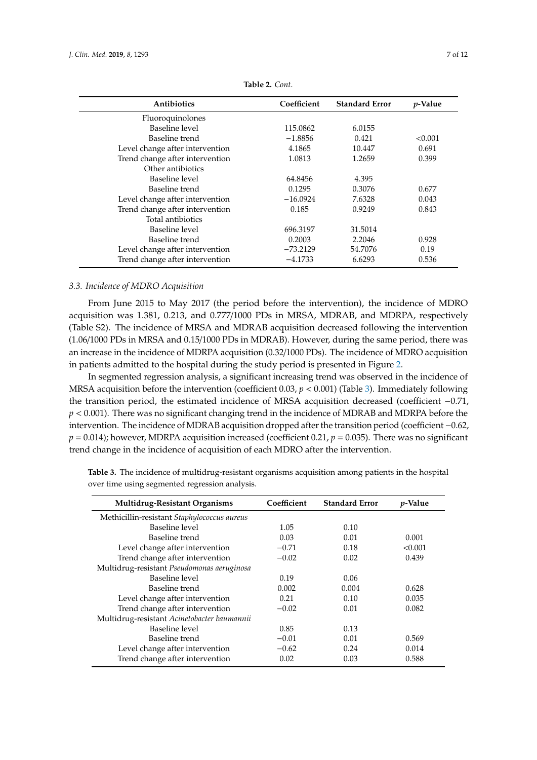<span id="page-6-0"></span>

| Antibiotics                     | Coefficient | <b>Standard Error</b> | <i>p</i> -Value |
|---------------------------------|-------------|-----------------------|-----------------|
| Fluoroquinolones                |             |                       |                 |
| Baseline level                  | 115.0862    | 6.0155                |                 |
| Baseline trend                  | $-1.8856$   | 0.421                 | < 0.001         |
| Level change after intervention | 4.1865      | 10.447                | 0.691           |
| Trend change after intervention | 1.0813      | 1.2659                | 0.399           |
| Other antibiotics               |             |                       |                 |
| Baseline level                  | 64.8456     | 4.395                 |                 |
| Baseline trend                  | 0.1295      | 0.3076                | 0.677           |
| Level change after intervention | $-16.0924$  | 7.6328                | 0.043           |
| Trend change after intervention | 0.185       | 0.9249                | 0.843           |
| Total antibiotics               |             |                       |                 |
| Baseline level                  | 696.3197    | 31.5014               |                 |
| Baseline trend                  | 0.2003      | 2.2046                | 0.928           |
| Level change after intervention | $-73.2129$  | 54.7076               | 0.19            |
| Trend change after intervention | $-4.1733$   | 6.6293                | 0.536           |

**Table 2.** *Cont.*

#### *3.3. Incidence of MDRO Acquisition*

From June 2015 to May 2017 (the period before the intervention), the incidence of MDRO acquisition was 1.381, 0.213, and 0.777/1000 PDs in MRSA, MDRAB, and MDRPA, respectively (Table S2). The incidence of MRSA and MDRAB acquisition decreased following the intervention (1.06/1000 PDs in MRSA and 0.15/1000 PDs in MDRAB). However, during the same period, there was an increase in the incidence of MDRPA acquisition (0.32/1000 PDs). The incidence of MDRO acquisition in patients admitted to the hospital during the study period is presented in Figure [2.](#page-7-0)

In segmented regression analysis, a significant increasing trend was observed in the incidence of MRSA acquisition before the intervention (coefficient 0.03, *p* < 0.001) (Table [3\)](#page-6-1). Immediately following the transition period, the estimated incidence of MRSA acquisition decreased (coefficient −0.71, *p* < 0.001). There was no significant changing trend in the incidence of MDRAB and MDRPA before the intervention. The incidence of MDRAB acquisition dropped after the transition period (coefficient −0.62,  $p = 0.014$ ); however, MDRPA acquisition increased (coefficient 0.21,  $p = 0.035$ ). There was no significant trend change in the incidence of acquisition of each MDRO after the intervention.

| <b>Multidrug-Resistant Organisms</b>        | Coefficient | <b>Standard Error</b> | <i>p</i> -Value |
|---------------------------------------------|-------------|-----------------------|-----------------|
| Methicillin-resistant Staphylococcus aureus |             |                       |                 |
| Baseline level                              | 1.05        | 0.10                  |                 |
| Baseline trend                              | 0.03        | 0.01                  | 0.001           |
| Level change after intervention             | $-0.71$     | 0.18                  | < 0.001         |
| Trend change after intervention             | $-0.02$     | 0.02                  | 0.439           |
| Multidrug-resistant Pseudomonas aeruginosa  |             |                       |                 |
| Baseline level                              | 0.19        | 0.06                  |                 |
| Baseline trend                              | 0.002       | 0.004                 | 0.628           |
| Level change after intervention             | 0.21        | 0.10                  | 0.035           |
| Trend change after intervention             | $-0.02$     | 0.01                  | 0.082           |
| Multidrug-resistant Acinetobacter baumannii |             |                       |                 |
| Baseline level                              | 0.85        | 0.13                  |                 |
| Baseline trend                              | $-0.01$     | 0.01                  | 0.569           |
| Level change after intervention             | $-0.62$     | 0.24                  | 0.014           |
| Trend change after intervention             | 0.02        | 0.03                  | 0.588           |

<span id="page-6-1"></span>**Table 3.** The incidence of multidrug-resistant organisms acquisition among patients in the hospital over time using segmented regression analysis.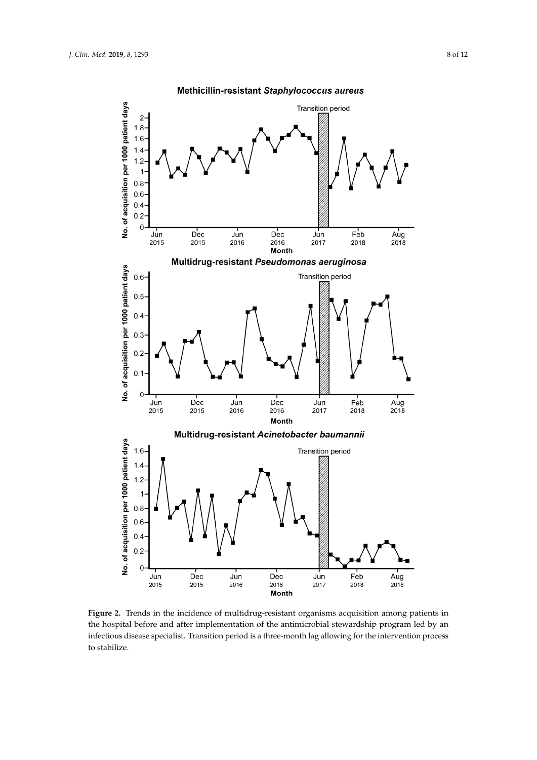<span id="page-7-0"></span>

**Figure 2.** Trends in the incidence of multidrug-resistant organisms acquisition among patients in the **Figure 2.** Trends in the incidence of multidrug-resistant organisms acquisition among patients in the hospital before and after implementation of the antimicrobial stewardship program led by an infectious disease specialist. Transition period is a three-month lag allowing for the intervention infectious disease specialist. Transition period is a three-month lag allowing for the intervention process to stabilize.

Methicillin-resistant Staphylococcus aureus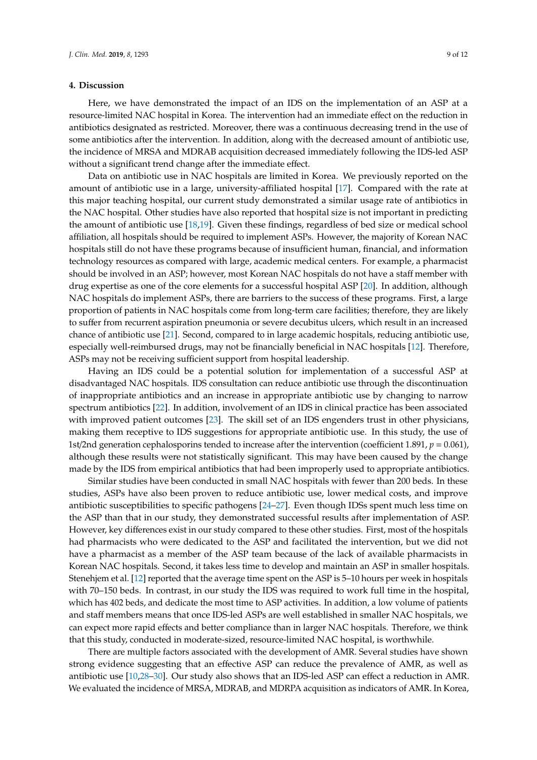#### **4. Discussion**

Here, we have demonstrated the impact of an IDS on the implementation of an ASP at a resource-limited NAC hospital in Korea. The intervention had an immediate effect on the reduction in antibiotics designated as restricted. Moreover, there was a continuous decreasing trend in the use of some antibiotics after the intervention. In addition, along with the decreased amount of antibiotic use, the incidence of MRSA and MDRAB acquisition decreased immediately following the IDS-led ASP without a significant trend change after the immediate effect.

Data on antibiotic use in NAC hospitals are limited in Korea. We previously reported on the amount of antibiotic use in a large, university-affiliated hospital [\[17\]](#page-10-10). Compared with the rate at this major teaching hospital, our current study demonstrated a similar usage rate of antibiotics in the NAC hospital. Other studies have also reported that hospital size is not important in predicting the amount of antibiotic use [\[18](#page-10-11)[,19\]](#page-10-12). Given these findings, regardless of bed size or medical school affiliation, all hospitals should be required to implement ASPs. However, the majority of Korean NAC hospitals still do not have these programs because of insufficient human, financial, and information technology resources as compared with large, academic medical centers. For example, a pharmacist should be involved in an ASP; however, most Korean NAC hospitals do not have a staff member with drug expertise as one of the core elements for a successful hospital ASP [\[20\]](#page-10-13). In addition, although NAC hospitals do implement ASPs, there are barriers to the success of these programs. First, a large proportion of patients in NAC hospitals come from long-term care facilities; therefore, they are likely to suffer from recurrent aspiration pneumonia or severe decubitus ulcers, which result in an increased chance of antibiotic use [\[21\]](#page-10-14). Second, compared to in large academic hospitals, reducing antibiotic use, especially well-reimbursed drugs, may not be financially beneficial in NAC hospitals [\[12\]](#page-10-5). Therefore, ASPs may not be receiving sufficient support from hospital leadership.

Having an IDS could be a potential solution for implementation of a successful ASP at disadvantaged NAC hospitals. IDS consultation can reduce antibiotic use through the discontinuation of inappropriate antibiotics and an increase in appropriate antibiotic use by changing to narrow spectrum antibiotics [\[22\]](#page-10-15). In addition, involvement of an IDS in clinical practice has been associated with improved patient outcomes [\[23\]](#page-10-16). The skill set of an IDS engenders trust in other physicians, making them receptive to IDS suggestions for appropriate antibiotic use. In this study, the use of 1st/2nd generation cephalosporins tended to increase after the intervention (coefficient 1.891, *p* = 0.061), although these results were not statistically significant. This may have been caused by the change made by the IDS from empirical antibiotics that had been improperly used to appropriate antibiotics.

Similar studies have been conducted in small NAC hospitals with fewer than 200 beds. In these studies, ASPs have also been proven to reduce antibiotic use, lower medical costs, and improve antibiotic susceptibilities to specific pathogens [\[24–](#page-10-17)[27\]](#page-11-0). Even though IDSs spent much less time on the ASP than that in our study, they demonstrated successful results after implementation of ASP. However, key differences exist in our study compared to these other studies. First, most of the hospitals had pharmacists who were dedicated to the ASP and facilitated the intervention, but we did not have a pharmacist as a member of the ASP team because of the lack of available pharmacists in Korean NAC hospitals. Second, it takes less time to develop and maintain an ASP in smaller hospitals. Stenehjem et al. [\[12\]](#page-10-5) reported that the average time spent on the ASP is 5–10 hours per week in hospitals with 70–150 beds. In contrast, in our study the IDS was required to work full time in the hospital, which has 402 beds, and dedicate the most time to ASP activities. In addition, a low volume of patients and staff members means that once IDS-led ASPs are well established in smaller NAC hospitals, we can expect more rapid effects and better compliance than in larger NAC hospitals. Therefore, we think that this study, conducted in moderate-sized, resource-limited NAC hospital, is worthwhile.

There are multiple factors associated with the development of AMR. Several studies have shown strong evidence suggesting that an effective ASP can reduce the prevalence of AMR, as well as antibiotic use [\[10,](#page-10-3)[28](#page-11-1)[–30\]](#page-11-2). Our study also shows that an IDS-led ASP can effect a reduction in AMR. We evaluated the incidence of MRSA, MDRAB, and MDRPA acquisition as indicators of AMR. In Korea,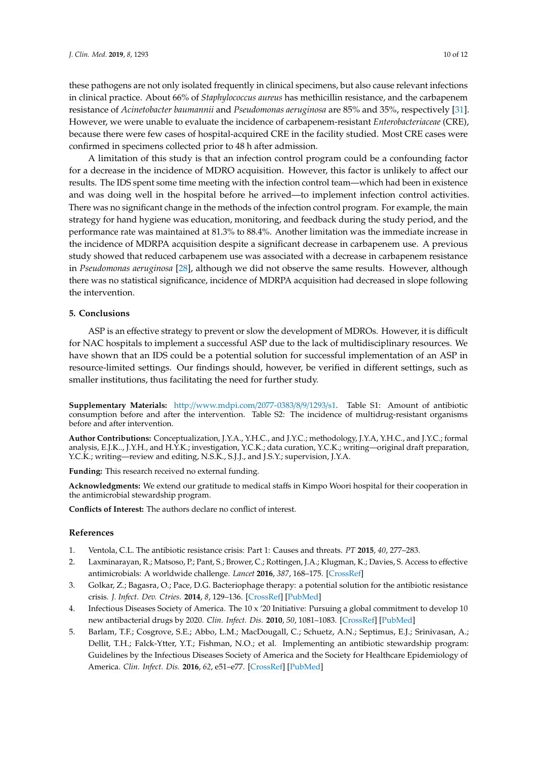these pathogens are not only isolated frequently in clinical specimens, but also cause relevant infections in clinical practice. About 66% of *Staphylococcus aureus* has methicillin resistance, and the carbapenem resistance of *Acinetobacter baumannii* and *Pseudomonas aeruginosa* are 85% and 35%, respectively [\[31\]](#page-11-3). However, we were unable to evaluate the incidence of carbapenem-resistant *Enterobacteriaceae* (CRE), because there were few cases of hospital-acquired CRE in the facility studied. Most CRE cases were confirmed in specimens collected prior to 48 h after admission.

A limitation of this study is that an infection control program could be a confounding factor for a decrease in the incidence of MDRO acquisition. However, this factor is unlikely to affect our results. The IDS spent some time meeting with the infection control team—which had been in existence and was doing well in the hospital before he arrived—to implement infection control activities. There was no significant change in the methods of the infection control program. For example, the main strategy for hand hygiene was education, monitoring, and feedback during the study period, and the performance rate was maintained at 81.3% to 88.4%. Another limitation was the immediate increase in the incidence of MDRPA acquisition despite a significant decrease in carbapenem use. A previous study showed that reduced carbapenem use was associated with a decrease in carbapenem resistance in *Pseudomonas aeruginosa* [\[28\]](#page-11-1), although we did not observe the same results. However, although there was no statistical significance, incidence of MDRPA acquisition had decreased in slope following the intervention.

#### **5. Conclusions**

ASP is an effective strategy to prevent or slow the development of MDROs. However, it is difficult for NAC hospitals to implement a successful ASP due to the lack of multidisciplinary resources. We have shown that an IDS could be a potential solution for successful implementation of an ASP in resource-limited settings. Our findings should, however, be verified in different settings, such as smaller institutions, thus facilitating the need for further study.

**Supplementary Materials:** http://[www.mdpi.com](http://www.mdpi.com/2077-0383/8/9/1293/s1)/2077-0383/8/9/1293/s1. Table S1: Amount of antibiotic consumption before and after the intervention. Table S2: The incidence of multidrug-resistant organisms before and after intervention.

**Author Contributions:** Conceptualization, J.Y.A., Y.H.C., and J.Y.C.; methodology, J.Y.A, Y.H.C., and J.Y.C.; formal analysis, E.J.K.., J.Y.H., and H.Y.K.; investigation, Y.C.K.; data curation, Y.C.K.; writing—original draft preparation, Y.C.K.; writing—review and editing, N.S.K., S.J.J., and J.S.Y.; supervision, J.Y.A.

**Funding:** This research received no external funding.

**Acknowledgments:** We extend our gratitude to medical staffs in Kimpo Woori hospital for their cooperation in the antimicrobial stewardship program.

**Conflicts of Interest:** The authors declare no conflict of interest.

#### **References**

- <span id="page-9-0"></span>1. Ventola, C.L. The antibiotic resistance crisis: Part 1: Causes and threats. *PT* **2015**, *40*, 277–283.
- <span id="page-9-1"></span>2. Laxminarayan, R.; Matsoso, P.; Pant, S.; Brower, C.; Rottingen, J.A.; Klugman, K.; Davies, S. Access to effective antimicrobials: A worldwide challenge. *Lancet* **2016**, *387*, 168–175. [\[CrossRef\]](http://dx.doi.org/10.1016/S0140-6736(15)00474-2)
- <span id="page-9-2"></span>3. Golkar, Z.; Bagasra, O.; Pace, D.G. Bacteriophage therapy: a potential solution for the antibiotic resistance crisis. *J. Infect. Dev. Ctries.* **2014**, *8*, 129–136. [\[CrossRef\]](http://dx.doi.org/10.3855/jidc.3573) [\[PubMed\]](http://www.ncbi.nlm.nih.gov/pubmed/24518621)
- <span id="page-9-3"></span>4. Infectious Diseases Society of America. The 10 x '20 Initiative: Pursuing a global commitment to develop 10 new antibacterial drugs by 2020. *Clin. Infect. Dis.* **2010**, *50*, 1081–1083. [\[CrossRef\]](http://dx.doi.org/10.1086/652237) [\[PubMed\]](http://www.ncbi.nlm.nih.gov/pubmed/20214473)
- <span id="page-9-4"></span>5. Barlam, T.F.; Cosgrove, S.E.; Abbo, L.M.; MacDougall, C.; Schuetz, A.N.; Septimus, E.J.; Srinivasan, A.; Dellit, T.H.; Falck-Ytter, Y.T.; Fishman, N.O.; et al. Implementing an antibiotic stewardship program: Guidelines by the Infectious Diseases Society of America and the Society for Healthcare Epidemiology of America. *Clin. Infect. Dis.* **2016**, *62*, e51–e77. [\[CrossRef\]](http://dx.doi.org/10.1093/cid/ciw118) [\[PubMed\]](http://www.ncbi.nlm.nih.gov/pubmed/27080992)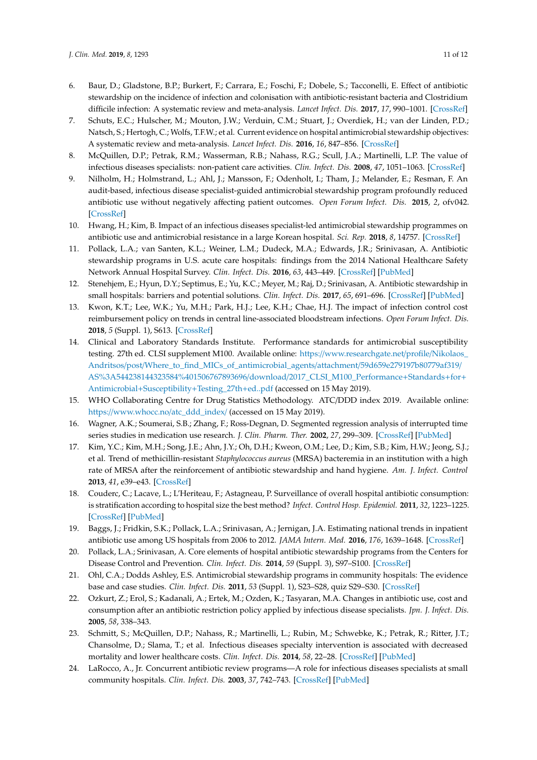- <span id="page-10-0"></span>6. Baur, D.; Gladstone, B.P.; Burkert, F.; Carrara, E.; Foschi, F.; Dobele, S.; Tacconelli, E. Effect of antibiotic stewardship on the incidence of infection and colonisation with antibiotic-resistant bacteria and Clostridium difficile infection: A systematic review and meta-analysis. *Lancet Infect. Dis.* **2017**, *17*, 990–1001. [\[CrossRef\]](http://dx.doi.org/10.1016/S1473-3099(17)30325-0)
- <span id="page-10-1"></span>7. Schuts, E.C.; Hulscher, M.; Mouton, J.W.; Verduin, C.M.; Stuart, J.; Overdiek, H.; van der Linden, P.D.; Natsch, S.; Hertogh, C.; Wolfs, T.F.W.; et al. Current evidence on hospital antimicrobial stewardship objectives: A systematic review and meta-analysis. *Lancet Infect. Dis.* **2016**, *16*, 847–856. [\[CrossRef\]](http://dx.doi.org/10.1016/S1473-3099(16)00065-7)
- <span id="page-10-2"></span>8. McQuillen, D.P.; Petrak, R.M.; Wasserman, R.B.; Nahass, R.G.; Scull, J.A.; Martinelli, L.P. The value of infectious diseases specialists: non-patient care activities. *Clin. Infect. Dis.* **2008**, *47*, 1051–1063. [\[CrossRef\]](http://dx.doi.org/10.1086/592067)
- 9. Nilholm, H.; Holmstrand, L.; Ahl, J.; Mansson, F.; Odenholt, I.; Tham, J.; Melander, E.; Resman, F. An audit-based, infectious disease specialist-guided antimicrobial stewardship program profoundly reduced antibiotic use without negatively affecting patient outcomes. *Open Forum Infect. Dis.* **2015**, *2*, ofv042. [\[CrossRef\]](http://dx.doi.org/10.1093/ofid/ofv042)
- <span id="page-10-3"></span>10. Hwang, H.; Kim, B. Impact of an infectious diseases specialist-led antimicrobial stewardship programmes on antibiotic use and antimicrobial resistance in a large Korean hospital. *Sci. Rep.* **2018**, *8*, 14757. [\[CrossRef\]](http://dx.doi.org/10.1038/s41598-018-33201-8)
- <span id="page-10-4"></span>11. Pollack, L.A.; van Santen, K.L.; Weiner, L.M.; Dudeck, M.A.; Edwards, J.R.; Srinivasan, A. Antibiotic stewardship programs in U.S. acute care hospitals: findings from the 2014 National Healthcare Safety Network Annual Hospital Survey. *Clin. Infect. Dis.* **2016**, *63*, 443–449. [\[CrossRef\]](http://dx.doi.org/10.1093/cid/ciw323) [\[PubMed\]](http://www.ncbi.nlm.nih.gov/pubmed/27199462)
- <span id="page-10-5"></span>12. Stenehjem, E.; Hyun, D.Y.; Septimus, E.; Yu, K.C.; Meyer, M.; Raj, D.; Srinivasan, A. Antibiotic stewardship in small hospitals: barriers and potential solutions. *Clin. Infect. Dis.* **2017**, *65*, 691–696. [\[CrossRef\]](http://dx.doi.org/10.1093/cid/cix407) [\[PubMed\]](http://www.ncbi.nlm.nih.gov/pubmed/28472291)
- <span id="page-10-6"></span>13. Kwon, K.T.; Lee, W.K.; Yu, M.H.; Park, H.J.; Lee, K.H.; Chae, H.J. The impact of infection control cost reimbursement policy on trends in central line-associated bloodstream infections. *Open Forum Infect. Dis.* **2018**, *5* (Suppl. 1), S613. [\[CrossRef\]](http://dx.doi.org/10.1093/ofid/ofy210.1747)
- <span id="page-10-7"></span>14. Clinical and Laboratory Standards Institute. Performance standards for antimicrobial susceptibility testing. 27th ed. CLSI supplement M100. Available online: https://[www.researchgate.net](https://www.researchgate.net/profile/Nikolaos_Andritsos/post/Where_to_find_MICs_of_antimicrobial_agents/attachment/59d659e279197b80779af319/AS%3A544238144323584%401506767893696/download/2017_CLSI_M100_Performance+Standards+for+Antimicrobial+Susceptibility+Testing_27th+ed..pdf)/profile/Nikolaos\_ Andritsos/post/[Where\\_to\\_find\\_MICs\\_of\\_antimicrobial\\_agents](https://www.researchgate.net/profile/Nikolaos_Andritsos/post/Where_to_find_MICs_of_antimicrobial_agents/attachment/59d659e279197b80779af319/AS%3A544238144323584%401506767893696/download/2017_CLSI_M100_Performance+Standards+for+Antimicrobial+Susceptibility+Testing_27th+ed..pdf)/attachment/59d659e279197b80779af319/ [AS%3A544238144323584%401506767893696](https://www.researchgate.net/profile/Nikolaos_Andritsos/post/Where_to_find_MICs_of_antimicrobial_agents/attachment/59d659e279197b80779af319/AS%3A544238144323584%401506767893696/download/2017_CLSI_M100_Performance+Standards+for+Antimicrobial+Susceptibility+Testing_27th+ed..pdf)/download/2017\_CLSI\_M100\_Performance+Standards+for+ [Antimicrobial](https://www.researchgate.net/profile/Nikolaos_Andritsos/post/Where_to_find_MICs_of_antimicrobial_agents/attachment/59d659e279197b80779af319/AS%3A544238144323584%401506767893696/download/2017_CLSI_M100_Performance+Standards+for+Antimicrobial+Susceptibility+Testing_27th+ed..pdf)+Susceptibility+Testing\_27th+ed..pdf (accessed on 15 May 2019).
- <span id="page-10-8"></span>15. WHO Collaborating Centre for Drug Statistics Methodology. ATC/DDD index 2019. Available online: https://[www.whocc.no](https://www.whocc.no/atc_ddd_index/)/atc\_ddd\_index/ (accessed on 15 May 2019).
- <span id="page-10-9"></span>16. Wagner, A.K.; Soumerai, S.B.; Zhang, F.; Ross-Degnan, D. Segmented regression analysis of interrupted time series studies in medication use research. *J. Clin. Pharm. Ther.* **2002**, *27*, 299–309. [\[CrossRef\]](http://dx.doi.org/10.1046/j.1365-2710.2002.00430.x) [\[PubMed\]](http://www.ncbi.nlm.nih.gov/pubmed/12174032)
- <span id="page-10-10"></span>17. Kim, Y.C.; Kim, M.H.; Song, J.E.; Ahn, J.Y.; Oh, D.H.; Kweon, O.M.; Lee, D.; Kim, S.B.; Kim, H.W.; Jeong, S.J.; et al. Trend of methicillin-resistant *Staphylococcus aureus* (MRSA) bacteremia in an institution with a high rate of MRSA after the reinforcement of antibiotic stewardship and hand hygiene. *Am. J. Infect. Control* **2013**, *41*, e39–e43. [\[CrossRef\]](http://dx.doi.org/10.1016/j.ajic.2012.12.018)
- <span id="page-10-11"></span>18. Couderc, C.; Lacave, L.; L'Heriteau, F.; Astagneau, P. Surveillance of overall hospital antibiotic consumption: is stratification according to hospital size the best method? *Infect. Control Hosp. Epidemiol.* **2011**, *32*, 1223–1225. [\[CrossRef\]](http://dx.doi.org/10.1086/662622) [\[PubMed\]](http://www.ncbi.nlm.nih.gov/pubmed/22080664)
- <span id="page-10-12"></span>19. Baggs, J.; Fridkin, S.K.; Pollack, L.A.; Srinivasan, A.; Jernigan, J.A. Estimating national trends in inpatient antibiotic use among US hospitals from 2006 to 2012. *JAMA Intern. Med.* **2016**, *176*, 1639–1648. [\[CrossRef\]](http://dx.doi.org/10.1001/jamainternmed.2016.5651)
- <span id="page-10-13"></span>20. Pollack, L.A.; Srinivasan, A. Core elements of hospital antibiotic stewardship programs from the Centers for Disease Control and Prevention. *Clin. Infect. Dis.* **2014**, *59* (Suppl. 3), S97–S100. [\[CrossRef\]](http://dx.doi.org/10.1093/cid/ciu542)
- <span id="page-10-14"></span>21. Ohl, C.A.; Dodds Ashley, E.S. Antimicrobial stewardship programs in community hospitals: The evidence base and case studies. *Clin. Infect. Dis.* **2011**, *53* (Suppl. 1), S23–S28, quiz S29–S30. [\[CrossRef\]](http://dx.doi.org/10.1093/cid/cir365)
- <span id="page-10-15"></span>22. Ozkurt, Z.; Erol, S.; Kadanali, A.; Ertek, M.; Ozden, K.; Tasyaran, M.A. Changes in antibiotic use, cost and consumption after an antibiotic restriction policy applied by infectious disease specialists. *Jpn. J. Infect. Dis.* **2005**, *58*, 338–343.
- <span id="page-10-16"></span>23. Schmitt, S.; McQuillen, D.P.; Nahass, R.; Martinelli, L.; Rubin, M.; Schwebke, K.; Petrak, R.; Ritter, J.T.; Chansolme, D.; Slama, T.; et al. Infectious diseases specialty intervention is associated with decreased mortality and lower healthcare costs. *Clin. Infect. Dis.* **2014**, *58*, 22–28. [\[CrossRef\]](http://dx.doi.org/10.1093/cid/cit610) [\[PubMed\]](http://www.ncbi.nlm.nih.gov/pubmed/24072931)
- <span id="page-10-17"></span>24. LaRocco, A., Jr. Concurrent antibiotic review programs—A role for infectious diseases specialists at small community hospitals. *Clin. Infect. Dis.* **2003**, *37*, 742–743. [\[CrossRef\]](http://dx.doi.org/10.1086/377286) [\[PubMed\]](http://www.ncbi.nlm.nih.gov/pubmed/12942418)